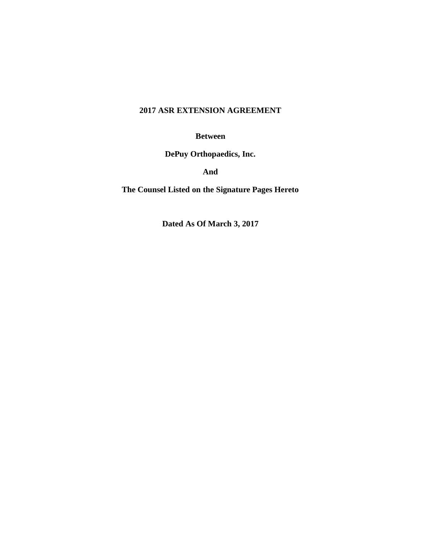# **2017 ASR EXTENSION AGREEMENT**

**Between**

**DePuy Orthopaedics, Inc.**

**And**

**The Counsel Listed on the Signature Pages Hereto**

**Dated As Of March 3, 2017**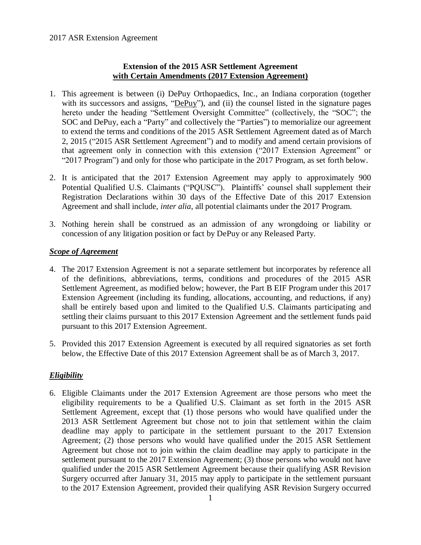## **Extension of the 2015 ASR Settlement Agreement with Certain Amendments (2017 Extension Agreement)**

- 1. This agreement is between (i) DePuy Orthopaedics, Inc., an Indiana corporation (together with its successors and assigns, "DePuy"), and (ii) the counsel listed in the signature pages hereto under the heading "Settlement Oversight Committee" (collectively, the "SOC"; the SOC and DePuy, each a "Party" and collectively the "Parties") to memorialize our agreement to extend the terms and conditions of the 2015 ASR Settlement Agreement dated as of March 2, 2015 ("2015 ASR Settlement Agreement") and to modify and amend certain provisions of that agreement only in connection with this extension ("2017 Extension Agreement" or "2017 Program") and only for those who participate in the 2017 Program, as set forth below.
- 2. It is anticipated that the 2017 Extension Agreement may apply to approximately 900 Potential Qualified U.S. Claimants ("PQUSC"). Plaintiffs' counsel shall supplement their Registration Declarations within 30 days of the Effective Date of this 2017 Extension Agreement and shall include, *inter alia*, all potential claimants under the 2017 Program.
- 3. Nothing herein shall be construed as an admission of any wrongdoing or liability or concession of any litigation position or fact by DePuy or any Released Party.

## *Scope of Agreement*

- 4. The 2017 Extension Agreement is not a separate settlement but incorporates by reference all of the definitions, abbreviations, terms, conditions and procedures of the 2015 ASR Settlement Agreement, as modified below; however, the Part B EIF Program under this 2017 Extension Agreement (including its funding, allocations, accounting, and reductions, if any) shall be entirely based upon and limited to the Qualified U.S. Claimants participating and settling their claims pursuant to this 2017 Extension Agreement and the settlement funds paid pursuant to this 2017 Extension Agreement.
- 5. Provided this 2017 Extension Agreement is executed by all required signatories as set forth below, the Effective Date of this 2017 Extension Agreement shall be as of March 3, 2017.

## *Eligibility*

6. Eligible Claimants under the 2017 Extension Agreement are those persons who meet the eligibility requirements to be a Qualified U.S. Claimant as set forth in the 2015 ASR Settlement Agreement, except that (1) those persons who would have qualified under the 2013 ASR Settlement Agreement but chose not to join that settlement within the claim deadline may apply to participate in the settlement pursuant to the 2017 Extension Agreement; (2) those persons who would have qualified under the 2015 ASR Settlement Agreement but chose not to join within the claim deadline may apply to participate in the settlement pursuant to the 2017 Extension Agreement; (3) those persons who would not have qualified under the 2015 ASR Settlement Agreement because their qualifying ASR Revision Surgery occurred after January 31, 2015 may apply to participate in the settlement pursuant to the 2017 Extension Agreement, provided their qualifying ASR Revision Surgery occurred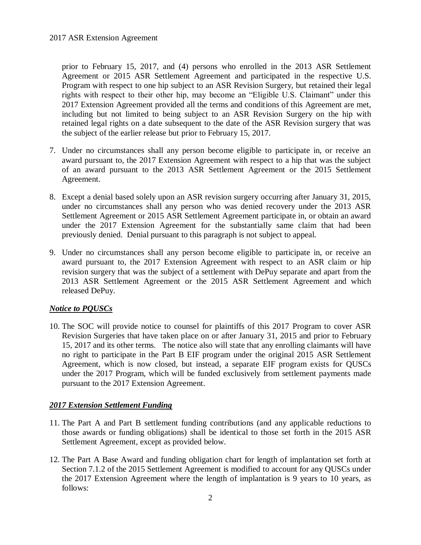prior to February 15, 2017, and (4) persons who enrolled in the 2013 ASR Settlement Agreement or 2015 ASR Settlement Agreement and participated in the respective U.S. Program with respect to one hip subject to an ASR Revision Surgery, but retained their legal rights with respect to their other hip, may become an "Eligible U.S. Claimant" under this 2017 Extension Agreement provided all the terms and conditions of this Agreement are met, including but not limited to being subject to an ASR Revision Surgery on the hip with retained legal rights on a date subsequent to the date of the ASR Revision surgery that was the subject of the earlier release but prior to February 15, 2017.

- 7. Under no circumstances shall any person become eligible to participate in, or receive an award pursuant to, the 2017 Extension Agreement with respect to a hip that was the subject of an award pursuant to the 2013 ASR Settlement Agreement or the 2015 Settlement Agreement.
- 8. Except a denial based solely upon an ASR revision surgery occurring after January 31, 2015, under no circumstances shall any person who was denied recovery under the 2013 ASR Settlement Agreement or 2015 ASR Settlement Agreement participate in, or obtain an award under the 2017 Extension Agreement for the substantially same claim that had been previously denied. Denial pursuant to this paragraph is not subject to appeal.
- 9. Under no circumstances shall any person become eligible to participate in, or receive an award pursuant to, the 2017 Extension Agreement with respect to an ASR claim or hip revision surgery that was the subject of a settlement with DePuy separate and apart from the 2013 ASR Settlement Agreement or the 2015 ASR Settlement Agreement and which released DePuy.

### *Notice to PQUSCs*

10. The SOC will provide notice to counsel for plaintiffs of this 2017 Program to cover ASR Revision Surgeries that have taken place on or after January 31, 2015 and prior to February 15, 2017 and its other terms. The notice also will state that any enrolling claimants will have no right to participate in the Part B EIF program under the original 2015 ASR Settlement Agreement, which is now closed, but instead, a separate EIF program exists for QUSCs under the 2017 Program, which will be funded exclusively from settlement payments made pursuant to the 2017 Extension Agreement.

### *2017 Extension Settlement Funding*

- 11. The Part A and Part B settlement funding contributions (and any applicable reductions to those awards or funding obligations) shall be identical to those set forth in the 2015 ASR Settlement Agreement, except as provided below.
- 12. The Part A Base Award and funding obligation chart for length of implantation set forth at Section 7.1.2 of the 2015 Settlement Agreement is modified to account for any QUSCs under the 2017 Extension Agreement where the length of implantation is 9 years to 10 years, as follows: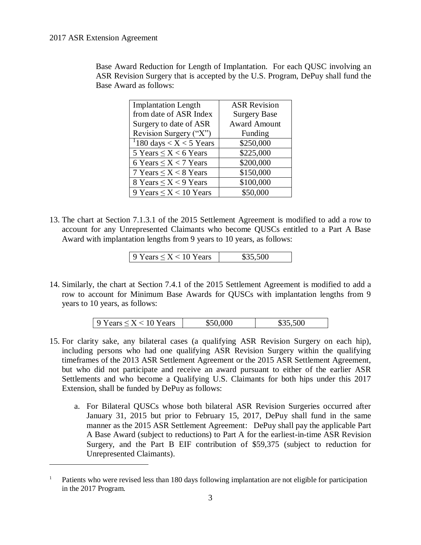$\overline{a}$ 

Base Award Reduction for Length of Implantation. For each QUSC involving an ASR Revision Surgery that is accepted by the U.S. Program, DePuy shall fund the Base Award as follows:

| <b>Implantation Length</b>          | <b>ASR Revision</b> |  |
|-------------------------------------|---------------------|--|
| from date of ASR Index              | <b>Surgery Base</b> |  |
| Surgery to date of ASR              | <b>Award Amount</b> |  |
| Revision Surgery ("X")              | Funding             |  |
| <sup>1</sup> 180 days < X < 5 Years | \$250,000           |  |
| 5 Years $\leq X < 6$ Years          | \$225,000           |  |
| 6 Years $\leq X < 7$ Years          | \$200,000           |  |
| 7 Years $\leq X \leq 8$ Years       | \$150,000           |  |
| 8 Years $\leq X < 9$ Years          | \$100,000           |  |
| 9 Years $\leq X < 10$ Years         | \$50,000            |  |

13. The chart at Section 7.1.3.1 of the 2015 Settlement Agreement is modified to add a row to account for any Unrepresented Claimants who become QUSCs entitled to a Part A Base Award with implantation lengths from 9 years to 10 years, as follows:

| 9 Years $\leq X < 10$ Years | \$35,500 |
|-----------------------------|----------|
|-----------------------------|----------|

14. Similarly, the chart at Section 7.4.1 of the 2015 Settlement Agreement is modified to add a row to account for Minimum Base Awards for QUSCs with implantation lengths from 9 years to 10 years, as follows:

| 9 Years $\leq X < 10$ Years | 900 | $\Omega$ |
|-----------------------------|-----|----------|
|-----------------------------|-----|----------|

- 15. For clarity sake, any bilateral cases (a qualifying ASR Revision Surgery on each hip), including persons who had one qualifying ASR Revision Surgery within the qualifying timeframes of the 2013 ASR Settlement Agreement or the 2015 ASR Settlement Agreement, but who did not participate and receive an award pursuant to either of the earlier ASR Settlements and who become a Qualifying U.S. Claimants for both hips under this 2017 Extension, shall be funded by DePuy as follows:
	- a. For Bilateral QUSCs whose both bilateral ASR Revision Surgeries occurred after January 31, 2015 but prior to February 15, 2017, DePuy shall fund in the same manner as the 2015 ASR Settlement Agreement: DePuy shall pay the applicable Part A Base Award (subject to reductions) to Part A for the earliest-in-time ASR Revision Surgery, and the Part B EIF contribution of \$59,375 (subject to reduction for Unrepresented Claimants).

<sup>1</sup> Patients who were revised less than 180 days following implantation are not eligible for participation in the 2017 Program.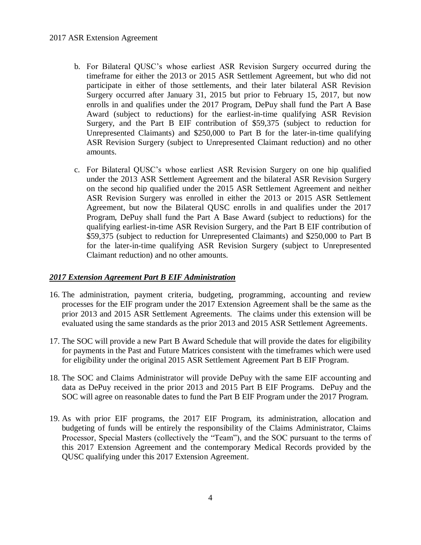### 2017 ASR Extension Agreement

- b. For Bilateral QUSC's whose earliest ASR Revision Surgery occurred during the timeframe for either the 2013 or 2015 ASR Settlement Agreement, but who did not participate in either of those settlements, and their later bilateral ASR Revision Surgery occurred after January 31, 2015 but prior to February 15, 2017, but now enrolls in and qualifies under the 2017 Program, DePuy shall fund the Part A Base Award (subject to reductions) for the earliest-in-time qualifying ASR Revision Surgery, and the Part B EIF contribution of \$59,375 (subject to reduction for Unrepresented Claimants) and \$250,000 to Part B for the later-in-time qualifying ASR Revision Surgery (subject to Unrepresented Claimant reduction) and no other amounts.
- c. For Bilateral QUSC's whose earliest ASR Revision Surgery on one hip qualified under the 2013 ASR Settlement Agreement and the bilateral ASR Revision Surgery on the second hip qualified under the 2015 ASR Settlement Agreement and neither ASR Revision Surgery was enrolled in either the 2013 or 2015 ASR Settlement Agreement, but now the Bilateral QUSC enrolls in and qualifies under the 2017 Program, DePuy shall fund the Part A Base Award (subject to reductions) for the qualifying earliest-in-time ASR Revision Surgery, and the Part B EIF contribution of \$59,375 (subject to reduction for Unrepresented Claimants) and \$250,000 to Part B for the later-in-time qualifying ASR Revision Surgery (subject to Unrepresented Claimant reduction) and no other amounts.

### *2017 Extension Agreement Part B EIF Administration*

- 16. The administration, payment criteria, budgeting, programming, accounting and review processes for the EIF program under the 2017 Extension Agreement shall be the same as the prior 2013 and 2015 ASR Settlement Agreements. The claims under this extension will be evaluated using the same standards as the prior 2013 and 2015 ASR Settlement Agreements.
- 17. The SOC will provide a new Part B Award Schedule that will provide the dates for eligibility for payments in the Past and Future Matrices consistent with the timeframes which were used for eligibility under the original 2015 ASR Settlement Agreement Part B EIF Program.
- 18. The SOC and Claims Administrator will provide DePuy with the same EIF accounting and data as DePuy received in the prior 2013 and 2015 Part B EIF Programs. DePuy and the SOC will agree on reasonable dates to fund the Part B EIF Program under the 2017 Program.
- 19. As with prior EIF programs, the 2017 EIF Program, its administration, allocation and budgeting of funds will be entirely the responsibility of the Claims Administrator, Claims Processor, Special Masters (collectively the "Team"), and the SOC pursuant to the terms of this 2017 Extension Agreement and the contemporary Medical Records provided by the QUSC qualifying under this 2017 Extension Agreement.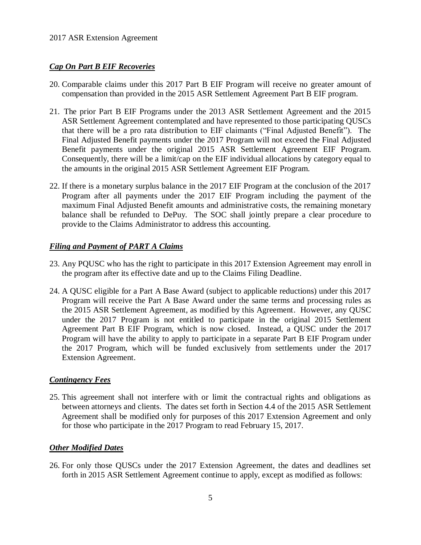## *Cap On Part B EIF Recoveries*

- 20. Comparable claims under this 2017 Part B EIF Program will receive no greater amount of compensation than provided in the 2015 ASR Settlement Agreement Part B EIF program.
- 21. The prior Part B EIF Programs under the 2013 ASR Settlement Agreement and the 2015 ASR Settlement Agreement contemplated and have represented to those participating QUSCs that there will be a pro rata distribution to EIF claimants ("Final Adjusted Benefit"). The Final Adjusted Benefit payments under the 2017 Program will not exceed the Final Adjusted Benefit payments under the original 2015 ASR Settlement Agreement EIF Program. Consequently, there will be a limit/cap on the EIF individual allocations by category equal to the amounts in the original 2015 ASR Settlement Agreement EIF Program.
- 22. If there is a monetary surplus balance in the 2017 EIF Program at the conclusion of the 2017 Program after all payments under the 2017 EIF Program including the payment of the maximum Final Adjusted Benefit amounts and administrative costs, the remaining monetary balance shall be refunded to DePuy. The SOC shall jointly prepare a clear procedure to provide to the Claims Administrator to address this accounting.

## *Filing and Payment of PART A Claims*

- 23. Any PQUSC who has the right to participate in this 2017 Extension Agreement may enroll in the program after its effective date and up to the Claims Filing Deadline.
- 24. A QUSC eligible for a Part A Base Award (subject to applicable reductions) under this 2017 Program will receive the Part A Base Award under the same terms and processing rules as the 2015 ASR Settlement Agreement, as modified by this Agreement. However, any QUSC under the 2017 Program is not entitled to participate in the original 2015 Settlement Agreement Part B EIF Program, which is now closed. Instead, a QUSC under the 2017 Program will have the ability to apply to participate in a separate Part B EIF Program under the 2017 Program, which will be funded exclusively from settlements under the 2017 Extension Agreement.

### *Contingency Fees*

25. This agreement shall not interfere with or limit the contractual rights and obligations as between attorneys and clients. The dates set forth in Section 4.4 of the 2015 ASR Settlement Agreement shall be modified only for purposes of this 2017 Extension Agreement and only for those who participate in the 2017 Program to read February 15, 2017.

### *Other Modified Dates*

26. For only those QUSCs under the 2017 Extension Agreement, the dates and deadlines set forth in 2015 ASR Settlement Agreement continue to apply, except as modified as follows: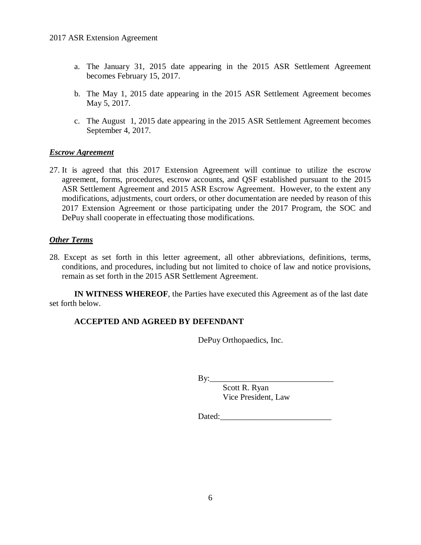- a. The January 31, 2015 date appearing in the 2015 ASR Settlement Agreement becomes February 15, 2017.
- b. The May 1, 2015 date appearing in the 2015 ASR Settlement Agreement becomes May 5, 2017.
- c. The August 1, 2015 date appearing in the 2015 ASR Settlement Agreement becomes September 4, 2017.

### *Escrow Agreement*

27. It is agreed that this 2017 Extension Agreement will continue to utilize the escrow agreement, forms, procedures, escrow accounts, and QSF established pursuant to the 2015 ASR Settlement Agreement and 2015 ASR Escrow Agreement. However, to the extent any modifications, adjustments, court orders, or other documentation are needed by reason of this 2017 Extension Agreement or those participating under the 2017 Program, the SOC and DePuy shall cooperate in effectuating those modifications.

### *Other Terms*

28. Except as set forth in this letter agreement, all other abbreviations, definitions, terms, conditions, and procedures, including but not limited to choice of law and notice provisions, remain as set forth in the 2015 ASR Settlement Agreement.

**IN WITNESS WHEREOF**, the Parties have executed this Agreement as of the last date set forth below.

### **ACCEPTED AND AGREED BY DEFENDANT**

DePuy Orthopaedics, Inc.

 $By:$ 

Scott R. Ryan Vice President, Law

Dated:\_\_\_\_\_\_\_\_\_\_\_\_\_\_\_\_\_\_\_\_\_\_\_\_\_\_\_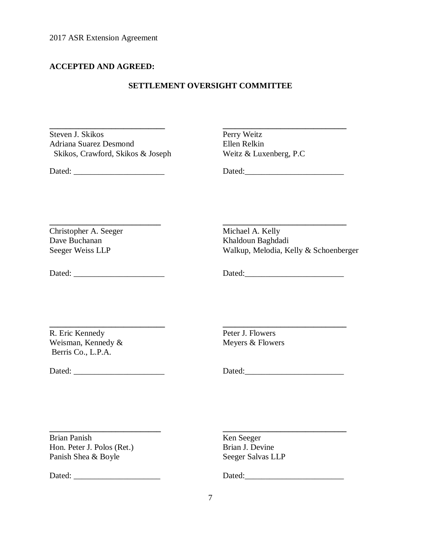## **ACCEPTED AND AGREED:**

#### **SETTLEMENT OVERSIGHT COMMITTEE**

**\_\_\_\_\_\_\_\_\_\_\_\_\_\_\_\_\_\_\_\_\_\_\_\_\_\_\_ \_\_\_\_\_\_\_\_\_\_\_\_\_\_\_\_\_\_\_\_\_\_\_\_\_\_\_\_\_\_**

Steven J. Skikos Adriana Suarez Desmond Ellen Relkin Skikos, Crawford, Skikos & Joseph Weitz & Luxenberg, P.C

**Perry Weitz** 

Dated:  $Dated:$ 

Christopher A. Seeger Michael A. Kelly Dave Buchanan Khaldoun Baghdadi

Seeger Weiss LLP Walkup, Melodia, Kelly & Schoenberger

Dated:  $Dated:$ 

R. Eric Kennedy Peter J. Flowers Weisman, Kennedy & Meyers & Flowers Berris Co., L.P.A.

**\_\_\_\_\_\_\_\_\_\_\_\_\_\_\_\_\_\_\_\_\_\_\_\_\_\_\_\_ \_\_\_\_\_\_\_\_\_\_\_\_\_\_\_\_\_\_\_\_\_\_\_\_\_\_\_\_\_\_**

Dated: \_\_\_\_\_\_\_\_\_\_\_\_\_\_\_\_\_\_\_\_\_\_ Dated:\_\_\_\_\_\_\_\_\_\_\_\_\_\_\_\_\_\_\_\_\_\_\_\_

Brian Panish Ken Seeger Hon. Peter J. Polos (Ret.) Brian J. Devine Panish Shea & Boyle Seeger Salvas LLP

Dated: \_\_\_\_\_\_\_\_\_\_\_\_\_\_\_\_\_\_\_\_\_ Dated:\_\_\_\_\_\_\_\_\_\_\_\_\_\_\_\_\_\_\_\_\_\_\_\_

**\_\_\_\_\_\_\_\_\_\_\_\_\_\_\_\_\_\_\_\_\_\_\_\_\_\_\_ \_\_\_\_\_\_\_\_\_\_\_\_\_\_\_\_\_\_\_\_\_\_\_\_\_\_\_\_\_\_**